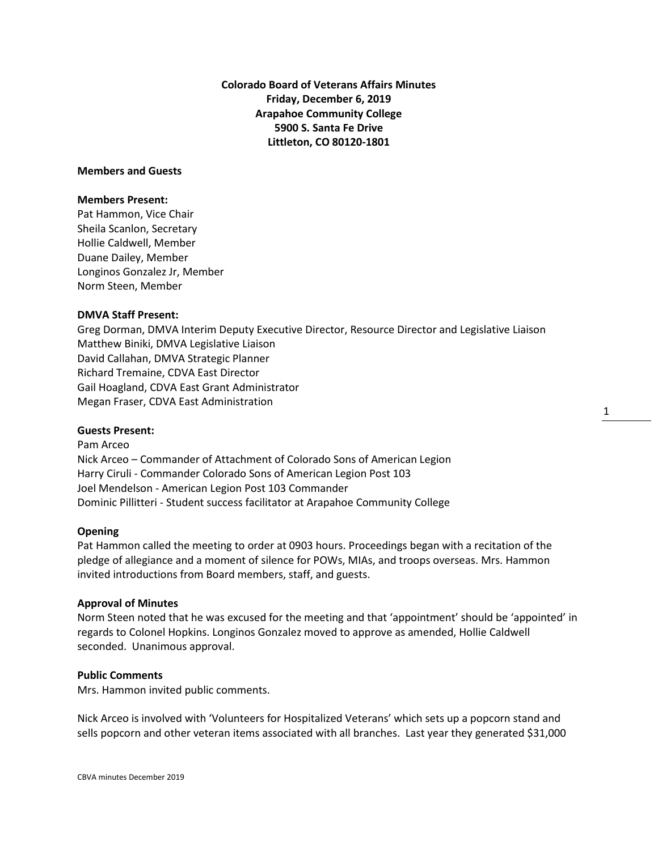**Colorado Board of Veterans Affairs Minutes Friday, December 6, 2019 Arapahoe Community College 5900 S. Santa Fe Drive Littleton, CO 80120-1801**

# **Members and Guests**

#### **Members Present:**

Pat Hammon, Vice Chair Sheila Scanlon, Secretary Hollie Caldwell, Member Duane Dailey, Member Longinos Gonzalez Jr, Member Norm Steen, Member

# **DMVA Staff Present:**

Greg Dorman, DMVA Interim Deputy Executive Director, Resource Director and Legislative Liaison Matthew Biniki, DMVA Legislative Liaison David Callahan, DMVA Strategic Planner Richard Tremaine, CDVA East Director Gail Hoagland, CDVA East Grant Administrator Megan Fraser, CDVA East Administration

## **Guests Present:**

Pam Arceo Nick Arceo – Commander of Attachment of Colorado Sons of American Legion Harry Ciruli - Commander Colorado Sons of American Legion Post 103 Joel Mendelson - American Legion Post 103 Commander Dominic Pillitteri - Student success facilitator at Arapahoe Community College

#### **Opening**

Pat Hammon called the meeting to order at 0903 hours. Proceedings began with a recitation of the pledge of allegiance and a moment of silence for POWs, MIAs, and troops overseas. Mrs. Hammon invited introductions from Board members, staff, and guests.

#### **Approval of Minutes**

Norm Steen noted that he was excused for the meeting and that 'appointment' should be 'appointed' in regards to Colonel Hopkins. Longinos Gonzalez moved to approve as amended, Hollie Caldwell seconded. Unanimous approval.

### **Public Comments**

Mrs. Hammon invited public comments.

Nick Arceo is involved with 'Volunteers for Hospitalized Veterans' which sets up a popcorn stand and sells popcorn and other veteran items associated with all branches. Last year they generated \$31,000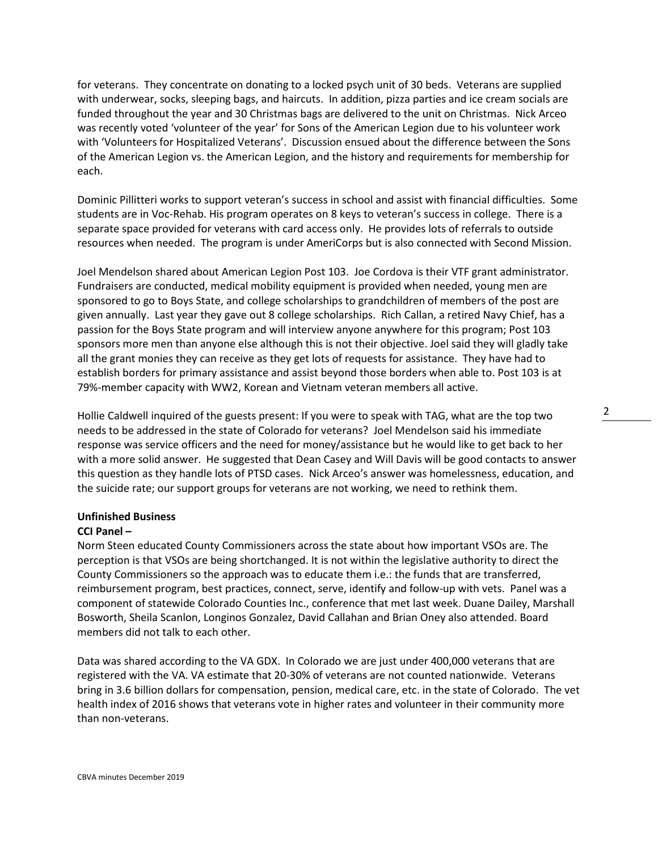for veterans. They concentrate on donating to a locked psych unit of 30 beds. Veterans are supplied with underwear, socks, sleeping bags, and haircuts. In addition, pizza parties and ice cream socials are funded throughout the year and 30 Christmas bags are delivered to the unit on Christmas. Nick Arceo was recently voted 'volunteer of the year' for Sons of the American Legion due to his volunteer work with 'Volunteers for Hospitalized Veterans'. Discussion ensued about the difference between the Sons of the American Legion vs. the American Legion, and the history and requirements for membership for each.

Dominic Pillitteri works to support veteran's success in school and assist with financial difficulties. Some students are in Voc-Rehab. His program operates on 8 keys to veteran's success in college. There is a separate space provided for veterans with card access only. He provides lots of referrals to outside resources when needed. The program is under AmeriCorps but is also connected with Second Mission.

Joel Mendelson shared about American Legion Post 103. Joe Cordova is their VTF grant administrator. Fundraisers are conducted, medical mobility equipment is provided when needed, young men are sponsored to go to Boys State, and college scholarships to grandchildren of members of the post are given annually. Last year they gave out 8 college scholarships. Rich Callan, a retired Navy Chief, has a passion for the Boys State program and will interview anyone anywhere for this program; Post 103 sponsors more men than anyone else although this is not their objective. Joel said they will gladly take all the grant monies they can receive as they get lots of requests for assistance. They have had to establish borders for primary assistance and assist beyond those borders when able to. Post 103 is at 79%-member capacity with WW2, Korean and Vietnam veteran members all active.

Hollie Caldwell inquired of the guests present: If you were to speak with TAG, what are the top two needs to be addressed in the state of Colorado for veterans? Joel Mendelson said his immediate response was service officers and the need for money/assistance but he would like to get back to her with a more solid answer. He suggested that Dean Casey and Will Davis will be good contacts to answer this question as they handle lots of PTSD cases. Nick Arceo's answer was homelessness, education, and the suicide rate; our support groups for veterans are not working, we need to rethink them.

### **Unfinished Business**

#### **CCI Panel –**

Norm Steen educated County Commissioners across the state about how important VSOs are. The perception is that VSOs are being shortchanged. It is not within the legislative authority to direct the County Commissioners so the approach was to educate them i.e.: the funds that are transferred, reimbursement program, best practices, connect, serve, identify and follow-up with vets. Panel was a component of statewide Colorado Counties Inc., conference that met last week. Duane Dailey, Marshall Bosworth, Sheila Scanlon, Longinos Gonzalez, David Callahan and Brian Oney also attended. Board members did not talk to each other.

Data was shared according to the VA GDX. In Colorado we are just under 400,000 veterans that are registered with the VA. VA estimate that 20-30% of veterans are not counted nationwide. Veterans bring in 3.6 billion dollars for compensation, pension, medical care, etc. in the state of Colorado. The vet health index of 2016 shows that veterans vote in higher rates and volunteer in their community more than non-veterans.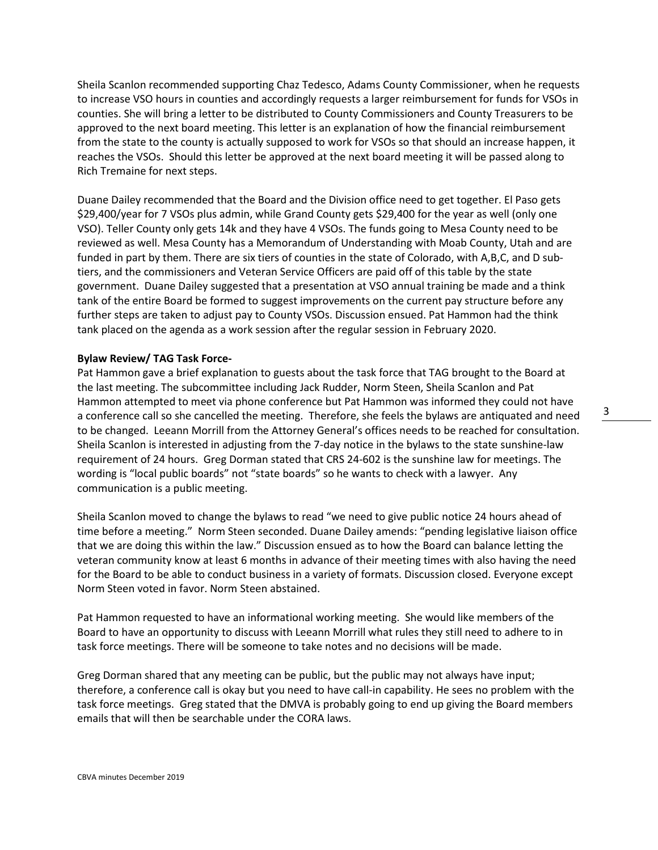Sheila Scanlon recommended supporting Chaz Tedesco, Adams County Commissioner, when he requests to increase VSO hours in counties and accordingly requests a larger reimbursement for funds for VSOs in counties. She will bring a letter to be distributed to County Commissioners and County Treasurers to be approved to the next board meeting. This letter is an explanation of how the financial reimbursement from the state to the county is actually supposed to work for VSOs so that should an increase happen, it reaches the VSOs. Should this letter be approved at the next board meeting it will be passed along to Rich Tremaine for next steps.

Duane Dailey recommended that the Board and the Division office need to get together. El Paso gets \$29,400/year for 7 VSOs plus admin, while Grand County gets \$29,400 for the year as well (only one VSO). Teller County only gets 14k and they have 4 VSOs. The funds going to Mesa County need to be reviewed as well. Mesa County has a Memorandum of Understanding with Moab County, Utah and are funded in part by them. There are six tiers of counties in the state of Colorado, with A,B,C, and D subtiers, and the commissioners and Veteran Service Officers are paid off of this table by the state government. Duane Dailey suggested that a presentation at VSO annual training be made and a think tank of the entire Board be formed to suggest improvements on the current pay structure before any further steps are taken to adjust pay to County VSOs. Discussion ensued. Pat Hammon had the think tank placed on the agenda as a work session after the regular session in February 2020.

## **Bylaw Review/ TAG Task Force-**

Pat Hammon gave a brief explanation to guests about the task force that TAG brought to the Board at the last meeting. The subcommittee including Jack Rudder, Norm Steen, Sheila Scanlon and Pat Hammon attempted to meet via phone conference but Pat Hammon was informed they could not have a conference call so she cancelled the meeting. Therefore, she feels the bylaws are antiquated and need to be changed. Leeann Morrill from the Attorney General's offices needs to be reached for consultation. Sheila Scanlon is interested in adjusting from the 7-day notice in the bylaws to the state sunshine-law requirement of 24 hours. Greg Dorman stated that CRS 24-602 is the sunshine law for meetings. The wording is "local public boards" not "state boards" so he wants to check with a lawyer. Any communication is a public meeting.

Sheila Scanlon moved to change the bylaws to read "we need to give public notice 24 hours ahead of time before a meeting." Norm Steen seconded. Duane Dailey amends: "pending legislative liaison office that we are doing this within the law." Discussion ensued as to how the Board can balance letting the veteran community know at least 6 months in advance of their meeting times with also having the need for the Board to be able to conduct business in a variety of formats. Discussion closed. Everyone except Norm Steen voted in favor. Norm Steen abstained.

Pat Hammon requested to have an informational working meeting. She would like members of the Board to have an opportunity to discuss with Leeann Morrill what rules they still need to adhere to in task force meetings. There will be someone to take notes and no decisions will be made.

Greg Dorman shared that any meeting can be public, but the public may not always have input; therefore, a conference call is okay but you need to have call-in capability. He sees no problem with the task force meetings. Greg stated that the DMVA is probably going to end up giving the Board members emails that will then be searchable under the CORA laws.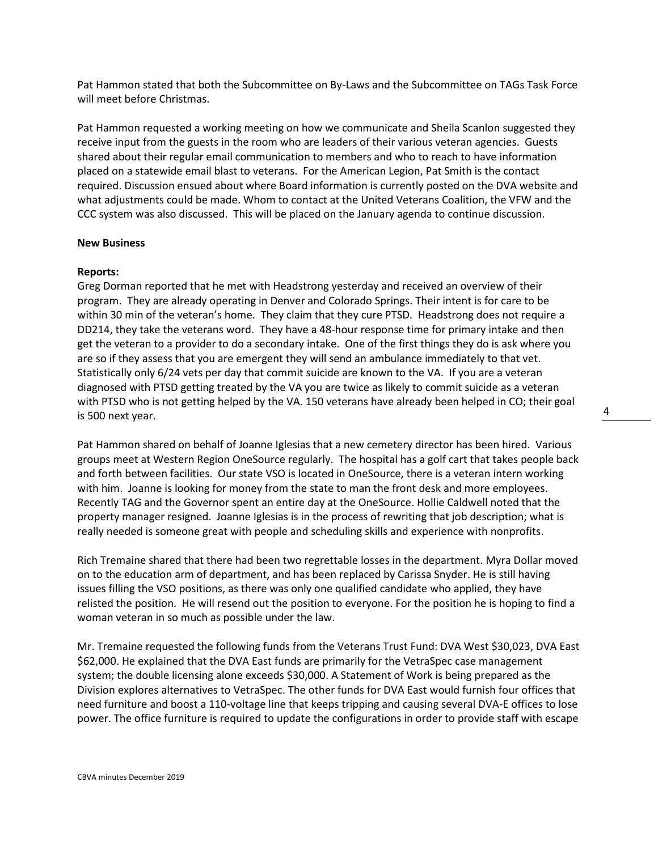Pat Hammon stated that both the Subcommittee on By-Laws and the Subcommittee on TAGs Task Force will meet before Christmas.

Pat Hammon requested a working meeting on how we communicate and Sheila Scanlon suggested they receive input from the guests in the room who are leaders of their various veteran agencies. Guests shared about their regular email communication to members and who to reach to have information placed on a statewide email blast to veterans. For the American Legion, Pat Smith is the contact required. Discussion ensued about where Board information is currently posted on the DVA website and what adjustments could be made. Whom to contact at the United Veterans Coalition, the VFW and the CCC system was also discussed. This will be placed on the January agenda to continue discussion.

#### **New Business**

#### **Reports:**

Greg Dorman reported that he met with Headstrong yesterday and received an overview of their program. They are already operating in Denver and Colorado Springs. Their intent is for care to be within 30 min of the veteran's home. They claim that they cure PTSD. Headstrong does not require a DD214, they take the veterans word. They have a 48-hour response time for primary intake and then get the veteran to a provider to do a secondary intake. One of the first things they do is ask where you are so if they assess that you are emergent they will send an ambulance immediately to that vet. Statistically only 6/24 vets per day that commit suicide are known to the VA. If you are a veteran diagnosed with PTSD getting treated by the VA you are twice as likely to commit suicide as a veteran with PTSD who is not getting helped by the VA. 150 veterans have already been helped in CO; their goal is 500 next year.

Pat Hammon shared on behalf of Joanne Iglesias that a new cemetery director has been hired. Various groups meet at Western Region OneSource regularly. The hospital has a golf cart that takes people back and forth between facilities. Our state VSO is located in OneSource, there is a veteran intern working with him. Joanne is looking for money from the state to man the front desk and more employees. Recently TAG and the Governor spent an entire day at the OneSource. Hollie Caldwell noted that the property manager resigned. Joanne Iglesias is in the process of rewriting that job description; what is really needed is someone great with people and scheduling skills and experience with nonprofits.

Rich Tremaine shared that there had been two regrettable losses in the department. Myra Dollar moved on to the education arm of department, and has been replaced by Carissa Snyder. He is still having issues filling the VSO positions, as there was only one qualified candidate who applied, they have relisted the position. He will resend out the position to everyone. For the position he is hoping to find a woman veteran in so much as possible under the law.

Mr. Tremaine requested the following funds from the Veterans Trust Fund: DVA West \$30,023, DVA East \$62,000. He explained that the DVA East funds are primarily for the VetraSpec case management system; the double licensing alone exceeds \$30,000. A Statement of Work is being prepared as the Division explores alternatives to VetraSpec. The other funds for DVA East would furnish four offices that need furniture and boost a 110-voltage line that keeps tripping and causing several DVA-E offices to lose power. The office furniture is required to update the configurations in order to provide staff with escape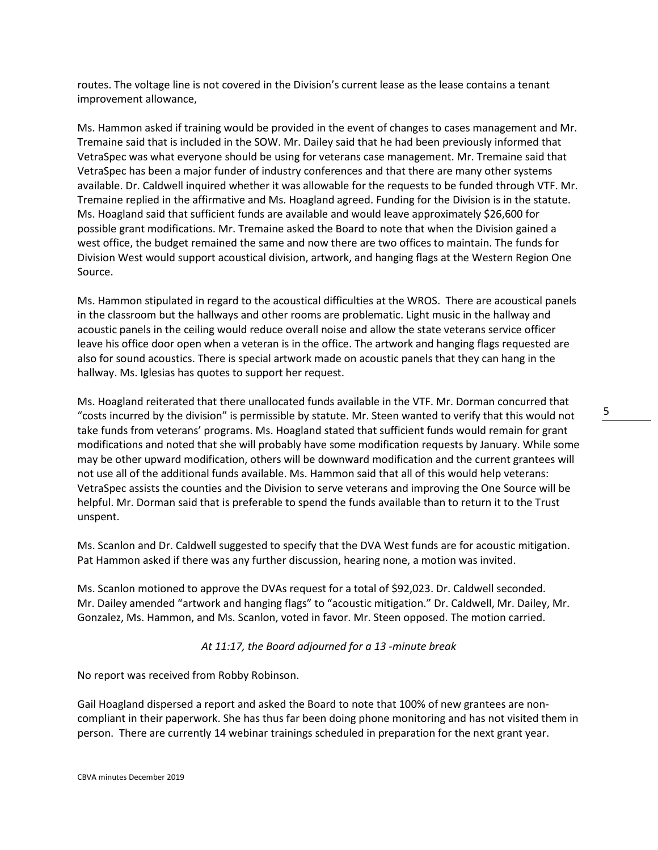routes. The voltage line is not covered in the Division's current lease as the lease contains a tenant improvement allowance,

Ms. Hammon asked if training would be provided in the event of changes to cases management and Mr. Tremaine said that is included in the SOW. Mr. Dailey said that he had been previously informed that VetraSpec was what everyone should be using for veterans case management. Mr. Tremaine said that VetraSpec has been a major funder of industry conferences and that there are many other systems available. Dr. Caldwell inquired whether it was allowable for the requests to be funded through VTF. Mr. Tremaine replied in the affirmative and Ms. Hoagland agreed. Funding for the Division is in the statute. Ms. Hoagland said that sufficient funds are available and would leave approximately \$26,600 for possible grant modifications. Mr. Tremaine asked the Board to note that when the Division gained a west office, the budget remained the same and now there are two offices to maintain. The funds for Division West would support acoustical division, artwork, and hanging flags at the Western Region One Source.

Ms. Hammon stipulated in regard to the acoustical difficulties at the WROS. There are acoustical panels in the classroom but the hallways and other rooms are problematic. Light music in the hallway and acoustic panels in the ceiling would reduce overall noise and allow the state veterans service officer leave his office door open when a veteran is in the office. The artwork and hanging flags requested are also for sound acoustics. There is special artwork made on acoustic panels that they can hang in the hallway. Ms. Iglesias has quotes to support her request.

Ms. Hoagland reiterated that there unallocated funds available in the VTF. Mr. Dorman concurred that "costs incurred by the division" is permissible by statute. Mr. Steen wanted to verify that this would not take funds from veterans' programs. Ms. Hoagland stated that sufficient funds would remain for grant modifications and noted that she will probably have some modification requests by January. While some may be other upward modification, others will be downward modification and the current grantees will not use all of the additional funds available. Ms. Hammon said that all of this would help veterans: VetraSpec assists the counties and the Division to serve veterans and improving the One Source will be helpful. Mr. Dorman said that is preferable to spend the funds available than to return it to the Trust unspent.

Ms. Scanlon and Dr. Caldwell suggested to specify that the DVA West funds are for acoustic mitigation. Pat Hammon asked if there was any further discussion, hearing none, a motion was invited.

Ms. Scanlon motioned to approve the DVAs request for a total of \$92,023. Dr. Caldwell seconded. Mr. Dailey amended "artwork and hanging flags" to "acoustic mitigation." Dr. Caldwell, Mr. Dailey, Mr. Gonzalez, Ms. Hammon, and Ms. Scanlon, voted in favor. Mr. Steen opposed. The motion carried.

*At 11:17, the Board adjourned for a 13 -minute break*

No report was received from Robby Robinson.

Gail Hoagland dispersed a report and asked the Board to note that 100% of new grantees are noncompliant in their paperwork. She has thus far been doing phone monitoring and has not visited them in person. There are currently 14 webinar trainings scheduled in preparation for the next grant year.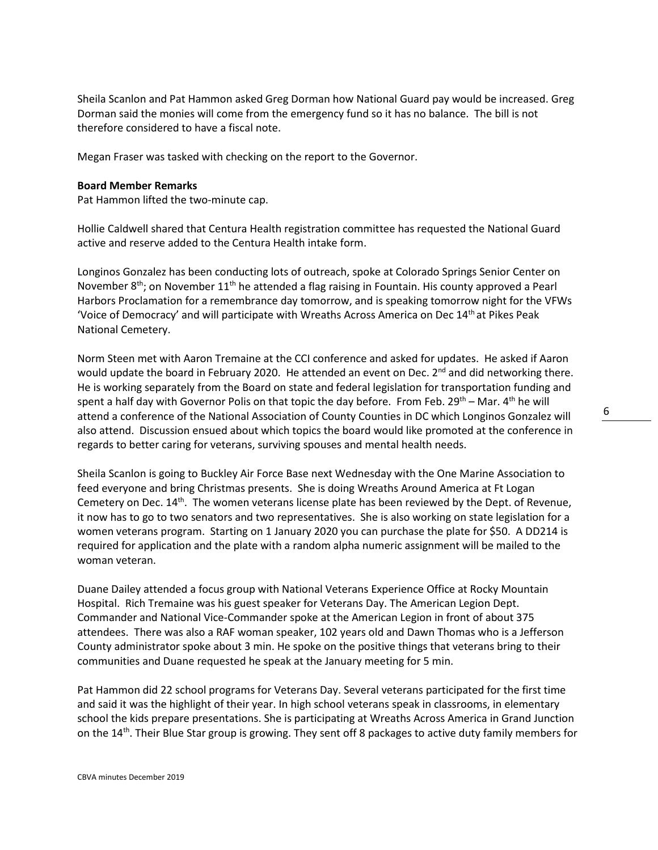6

Sheila Scanlon and Pat Hammon asked Greg Dorman how National Guard pay would be increased. Greg Dorman said the monies will come from the emergency fund so it has no balance. The bill is not therefore considered to have a fiscal note.

Megan Fraser was tasked with checking on the report to the Governor.

### **Board Member Remarks**

Pat Hammon lifted the two-minute cap.

Hollie Caldwell shared that Centura Health registration committee has requested the National Guard active and reserve added to the Centura Health intake form.

Longinos Gonzalez has been conducting lots of outreach, spoke at Colorado Springs Senior Center on November 8<sup>th</sup>; on November 11<sup>th</sup> he attended a flag raising in Fountain. His county approved a Pearl Harbors Proclamation for a remembrance day tomorrow, and is speaking tomorrow night for the VFWs 'Voice of Democracy' and will participate with Wreaths Across America on Dec  $14<sup>th</sup>$  at Pikes Peak National Cemetery.

Norm Steen met with Aaron Tremaine at the CCI conference and asked for updates. He asked if Aaron would update the board in February 2020. He attended an event on Dec.  $2^{nd}$  and did networking there. He is working separately from the Board on state and federal legislation for transportation funding and spent a half day with Governor Polis on that topic the day before. From Feb.  $29^{th}$  – Mar.  $4^{th}$  he will attend a conference of the National Association of County Counties in DC which Longinos Gonzalez will also attend. Discussion ensued about which topics the board would like promoted at the conference in regards to better caring for veterans, surviving spouses and mental health needs.

Sheila Scanlon is going to Buckley Air Force Base next Wednesday with the One Marine Association to feed everyone and bring Christmas presents. She is doing Wreaths Around America at Ft Logan Cemetery on Dec. 14th. The women veterans license plate has been reviewed by the Dept. of Revenue, it now has to go to two senators and two representatives. She is also working on state legislation for a women veterans program. Starting on 1 January 2020 you can purchase the plate for \$50. A DD214 is required for application and the plate with a random alpha numeric assignment will be mailed to the woman veteran.

Duane Dailey attended a focus group with National Veterans Experience Office at Rocky Mountain Hospital. Rich Tremaine was his guest speaker for Veterans Day. The American Legion Dept. Commander and National Vice-Commander spoke at the American Legion in front of about 375 attendees. There was also a RAF woman speaker, 102 years old and Dawn Thomas who is a Jefferson County administrator spoke about 3 min. He spoke on the positive things that veterans bring to their communities and Duane requested he speak at the January meeting for 5 min.

Pat Hammon did 22 school programs for Veterans Day. Several veterans participated for the first time and said it was the highlight of their year. In high school veterans speak in classrooms, in elementary school the kids prepare presentations. She is participating at Wreaths Across America in Grand Junction on the 14<sup>th</sup>. Their Blue Star group is growing. They sent off 8 packages to active duty family members for